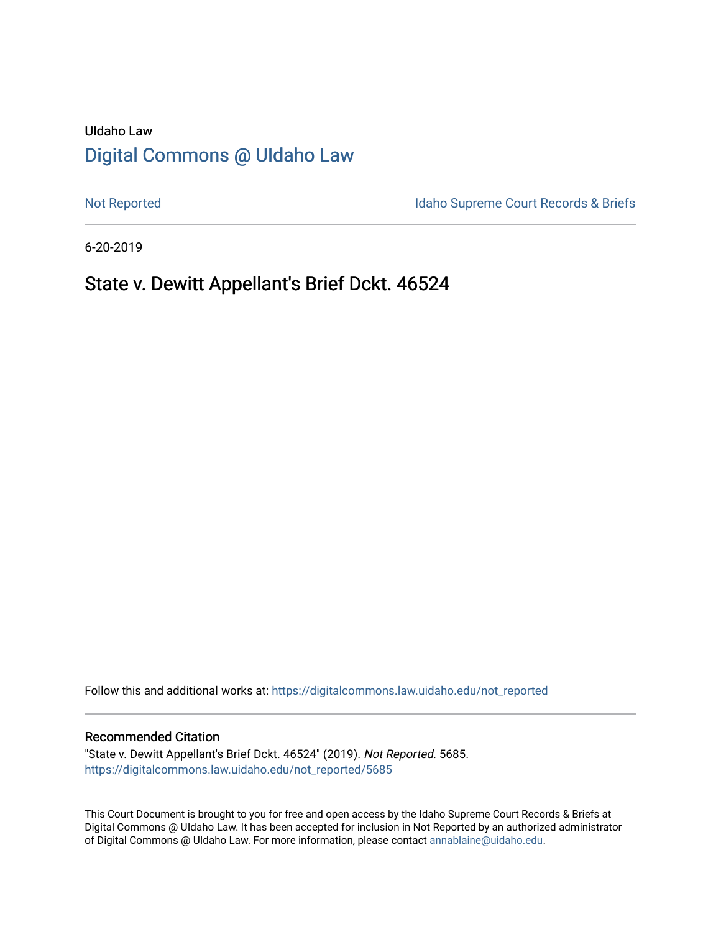# UIdaho Law [Digital Commons @ UIdaho Law](https://digitalcommons.law.uidaho.edu/)

[Not Reported](https://digitalcommons.law.uidaho.edu/not_reported) **Idaho Supreme Court Records & Briefs** 

6-20-2019

# State v. Dewitt Appellant's Brief Dckt. 46524

Follow this and additional works at: [https://digitalcommons.law.uidaho.edu/not\\_reported](https://digitalcommons.law.uidaho.edu/not_reported?utm_source=digitalcommons.law.uidaho.edu%2Fnot_reported%2F5685&utm_medium=PDF&utm_campaign=PDFCoverPages) 

#### Recommended Citation

"State v. Dewitt Appellant's Brief Dckt. 46524" (2019). Not Reported. 5685. [https://digitalcommons.law.uidaho.edu/not\\_reported/5685](https://digitalcommons.law.uidaho.edu/not_reported/5685?utm_source=digitalcommons.law.uidaho.edu%2Fnot_reported%2F5685&utm_medium=PDF&utm_campaign=PDFCoverPages)

This Court Document is brought to you for free and open access by the Idaho Supreme Court Records & Briefs at Digital Commons @ UIdaho Law. It has been accepted for inclusion in Not Reported by an authorized administrator of Digital Commons @ UIdaho Law. For more information, please contact [annablaine@uidaho.edu](mailto:annablaine@uidaho.edu).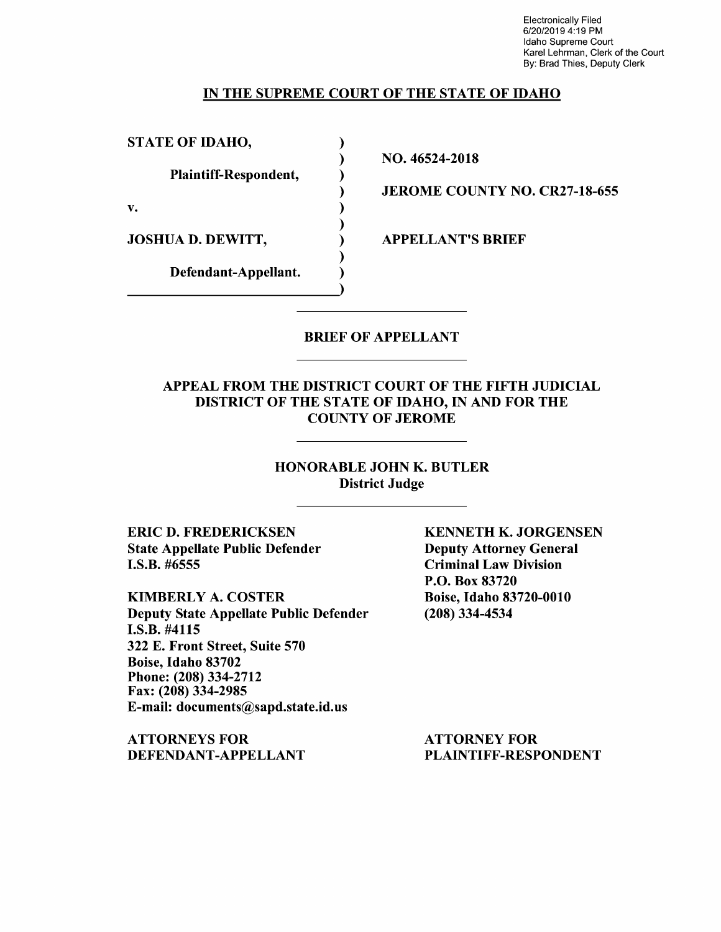Electronically Filed 6/20/2019 4:19 PM Idaho Supreme Court Karel Lehrman, Clerk of the Court By: Brad Thies, Deputy Clerk

### IN THE SUPREME COURT OF THE STATE OF IDAHO

) ) ) ) ) ) ) ) )

STATE OF IDAHO,

Plaintiff-Respondent,

v.

JOSHUA D. DEWITT,

Defendant-Appellant.

NO. 46524-2018

JEROME COUNTY NO. CR27-18-655

APPELLANT'S BRIEF

## BRIEF OF APPELLANT

### APPEAL FROM THE DISTRICT COURT OF THE FIFTH JUDICIAL DISTRICT OF THE STATE OF IDAHO, IN AND FOR THE COUNTY OF JEROME

HONORABLE JOHN K. BUTLER District Judge

ERIC D. FREDERICKSEN State Appellate Public Defender I.S.B. #6555

KIMBERLY A. COSTER Deputy State Appellate Public Defender I.S.B. #4115 322 E. Front Street, Suite 570 Boise, Idaho 83702 Phone: (208) 334-2712 Fax: (208) 334-2985 E-mail: documents@sapd.state.id.us

ATTORNEYS FOR DEFENDANT-APPELLANT KENNETH K. JORGENSEN Deputy Attorney General Criminal Law Division P.O. Box 83720 Boise, Idaho 83720-0010 (208) 334-4534

ATTORNEY FOR PLAINTIFF-RESPONDENT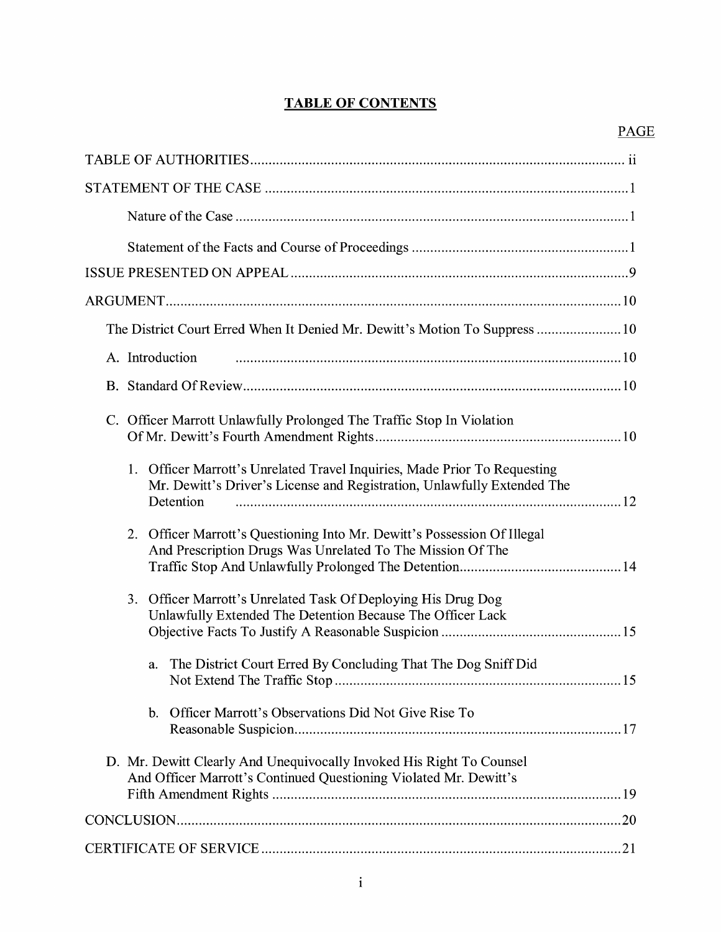## **TABLE OF CONTENTS**

| The District Court Erred When It Denied Mr. Dewitt's Motion To Suppress  10                                                                                       |
|-------------------------------------------------------------------------------------------------------------------------------------------------------------------|
| A. Introduction                                                                                                                                                   |
|                                                                                                                                                                   |
| C. Officer Marrott Unlawfully Prolonged The Traffic Stop In Violation                                                                                             |
| 1. Officer Marrott's Unrelated Travel Inquiries, Made Prior To Requesting<br>Mr. Dewitt's Driver's License and Registration, Unlawfully Extended The<br>Detention |
| Officer Marrott's Questioning Into Mr. Dewitt's Possession Of Illegal<br>2.<br>And Prescription Drugs Was Unrelated To The Mission Of The                         |
| 3. Officer Marrott's Unrelated Task Of Deploying His Drug Dog<br>Unlawfully Extended The Detention Because The Officer Lack                                       |
| The District Court Erred By Concluding That The Dog Sniff Did<br>a.                                                                                               |
| Officer Marrott's Observations Did Not Give Rise To<br>b.                                                                                                         |
| D. Mr. Dewitt Clearly And Unequivocally Invoked His Right To Counsel<br>And Officer Marrott's Continued Questioning Violated Mr. Dewitt's                         |
|                                                                                                                                                                   |
|                                                                                                                                                                   |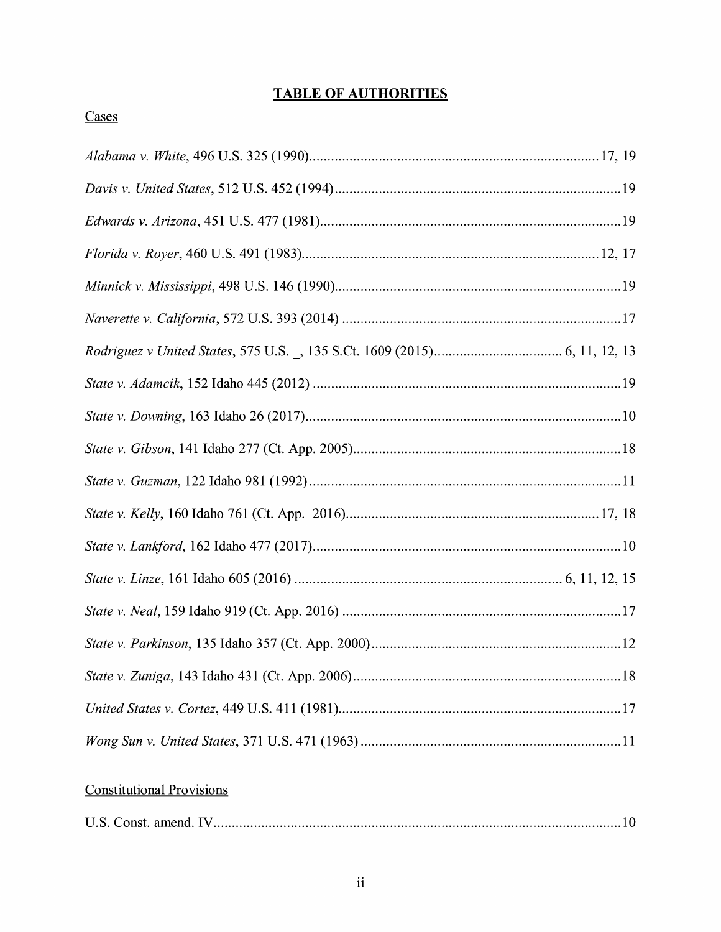## **TABLE OF AUTHORITIES**

## Cases

## **Constitutional Provisions**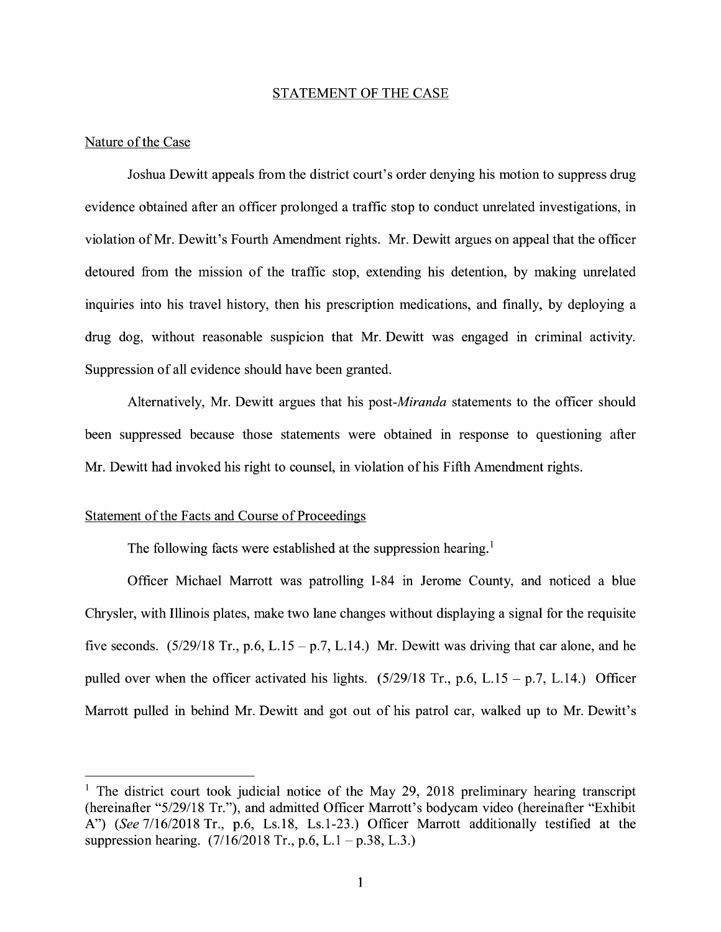#### STATEMENT OF THE CASE

#### Nature of the Case

Joshua Dewitt appeals from the district court's order denying his motion to suppress drug evidence obtained after an officer prolonged a traffic stop to conduct unrelated investigations, in violation of Mr. Dewitt's Fourth Amendment rights. Mr. Dewitt argues on appeal that the officer detoured from the mission of the traffic stop, extending his detention, by making unrelated inquiries into his travel history, then his prescription medications, and finally, by deploying a drug dog, without reasonable suspicion that Mr. Dewitt was engaged in criminal activity. Suppression of all evidence should have been granted.

Alternatively, Mr. Dewitt argues that his *post-Miranda* statements to the officer should been suppressed because those statements were obtained in response to questioning after Mr. Dewitt had invoked his right to counsel, in violation of his Fifth Amendment rights.

#### Statement of the Facts and Course of Proceedings

The following facts were established at the suppression hearing.<sup>1</sup>

Officer Michael Marrott was patrolling 1-84 in Jerome County, and noticed a blue Chrysler, with Illinois plates, make two lane changes without displaying a signal for the requisite five seconds.  $(5/29/18$  Tr., p.6, L.15 – p.7, L.14.) Mr. Dewitt was driving that car alone, and he pulled over when the officer activated his lights.  $(5/29/18$  Tr., p.6, L.15 – p.7, L.14.) Officer Marrott pulled in behind Mr. Dewitt and got out of his patrol car, walked up to Mr. Dewitt's

<sup>&</sup>lt;sup>1</sup> The district court took judicial notice of the May 29, 2018 preliminary hearing transcript (hereinafter "5/29/18 Tr."), and admitted Officer Marrott's bodycam video (hereinafter "Exhibit A") *(See* 7/16/2018 Tr., p.6, Ls.18, Ls.1-23.) Officer Marrott additionally testified at the suppression hearing.  $(7/16/2018 \text{ Tr.}, p.6, L.1 - p.38, L.3.)$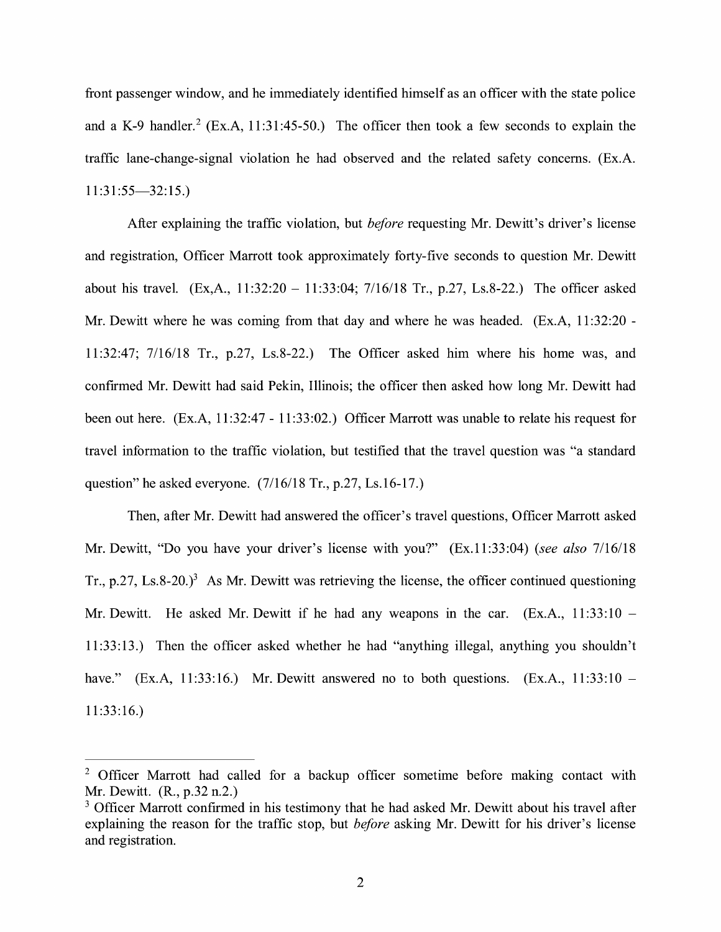front passenger window, and he immediately identified himself as an officer with the state police and a K-9 handler.<sup>2</sup> (Ex.A, 11:31:45-50.) The officer then took a few seconds to explain the traffic lane-change-signal violation he had observed and the related safety concerns. (Ex.A.  $11:31:55 - 32:15.$ 

After explaining the traffic violation, but *before* requesting Mr. Dewitt's driver's license and registration, Officer Marrott took approximately forty-five seconds to question Mr. Dewitt about his travel.  $(Ex, A., 11:32:20 - 11:33:04; 7/16/18 \text{ Tr.}, p.27, Ls.8-22.)$  The officer asked Mr. Dewitt where he was coming from that day and where he was headed. (Ex.A, 11:32:20 - 11:32:47; 7/16/18 Tr., p.27, Ls.8-22.) The Officer asked him where his home was, and confirmed Mr. Dewitt had said Pekin, Illinois; the officer then asked how long Mr. Dewitt had been out here. (Ex.A, 11:32:47 - 11:33:02.) Officer Marrott was unable to relate his request for travel information to the traffic violation, but testified that the travel question was "a standard question" he asked everyone.  $(7/16/18$  Tr., p.27, Ls.16-17.)

Then, after Mr. Dewitt had answered the officer's travel questions, Officer Marrott asked Mr. Dewitt, "Do you have your driver's license with you?" (Ex.11:33:04) *(see also* 7/16/18 Tr., p.27, Ls.8-20.)<sup>3</sup> As Mr. Dewitt was retrieving the license, the officer continued questioning Mr. Dewitt. He asked Mr. Dewitt if he had any weapons in the car.  $(Ex.A., 11:33:10 -$ 11:33:13.) Then the officer asked whether he had "anything illegal, anything you shouldn't have." (Ex.A, 11:33:16.) Mr. Dewitt answered no to both questions. (Ex.A., 11:33:10 – 11:33:16.)

<sup>&</sup>lt;sup>2</sup> Officer Marrott had called for a backup officer sometime before making contact with Mr. Dewitt. (R., p.32 n.2.)

<sup>&</sup>lt;sup>3</sup> Officer Marrott confirmed in his testimony that he had asked Mr. Dewitt about his travel after explaining the reason for the traffic stop, but *before* asking Mr. Dewitt for his driver's license and registration.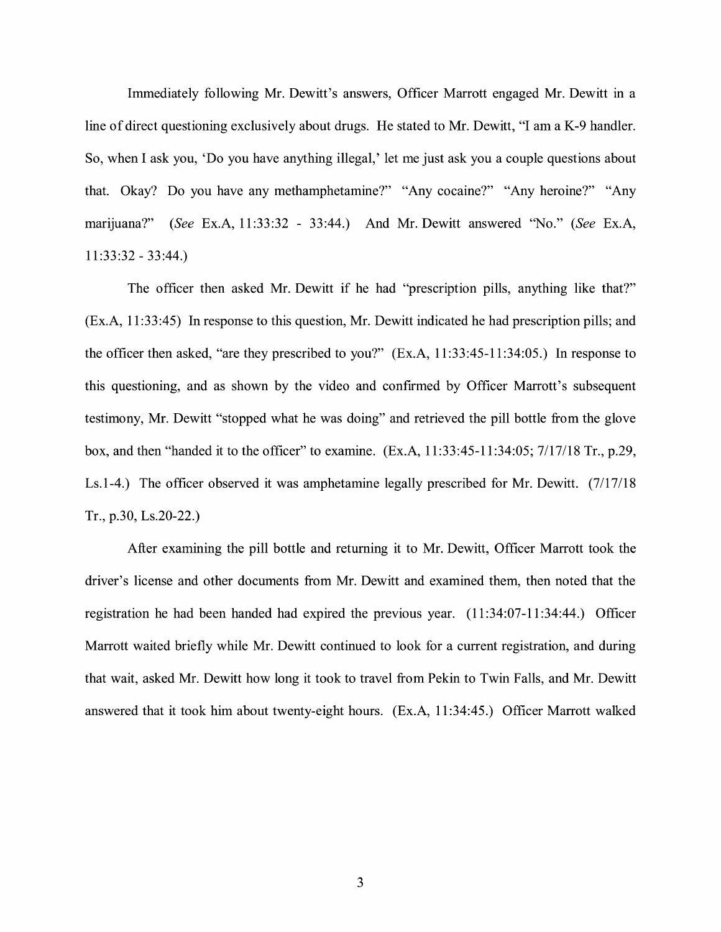Immediately following Mr. Dewitt's answers, Officer Marrott engaged Mr. Dewitt in a line of direct questioning exclusively about drugs. He stated to Mr. Dewitt, "I am a K-9 handler. So, when I ask you, 'Do you have anything illegal,' let me just ask you a couple questions about that. Okay? Do you have any methamphetamine?" "Any cocaine?" "Any heroine?" "Any marijuana?" *(See* Ex.A, 11:33:32 - 33:44.) And Mr. Dewitt answered "No." *(See* Ex.A, 11 :33:32 - 33:44.)

The officer then asked Mr. Dewitt if he had "prescription pills, anything like that?" (Ex.A, 11:33:45) In response to this question, Mr. Dewitt indicated he had prescription pills; and the officer then asked, "are they prescribed to you?" (Ex.A, 11:33:45-11:34:05.) In response to this questioning, and as shown by the video and confirmed by Officer Marrott's subsequent testimony, Mr. Dewitt "stopped what he was doing" and retrieved the pill bottle from the glove box, and then "handed it to the officer" to examine. (Ex.A, 11:33:45-11:34:05; 7/17/18 Tr., p.29, Ls.1-4.) The officer observed it was amphetamine legally prescribed for Mr. Dewitt. (7/17/18 Tr., p.30, Ls.20-22.)

After examining the pill bottle and returning it to Mr. Dewitt, Officer Marrott took the driver's license and other documents from Mr. Dewitt and examined them, then noted that the registration he had been handed had expired the previous year. (11 :34:07-11 :34:44.) Officer Marrott waited briefly while Mr. Dewitt continued to look for a current registration, and during that wait, asked Mr. Dewitt how long it took to travel from Pekin to Twin Falls, and Mr. Dewitt answered that it took him about twenty-eight hours. (Ex.A, 11:34:45.) Officer Marrott walked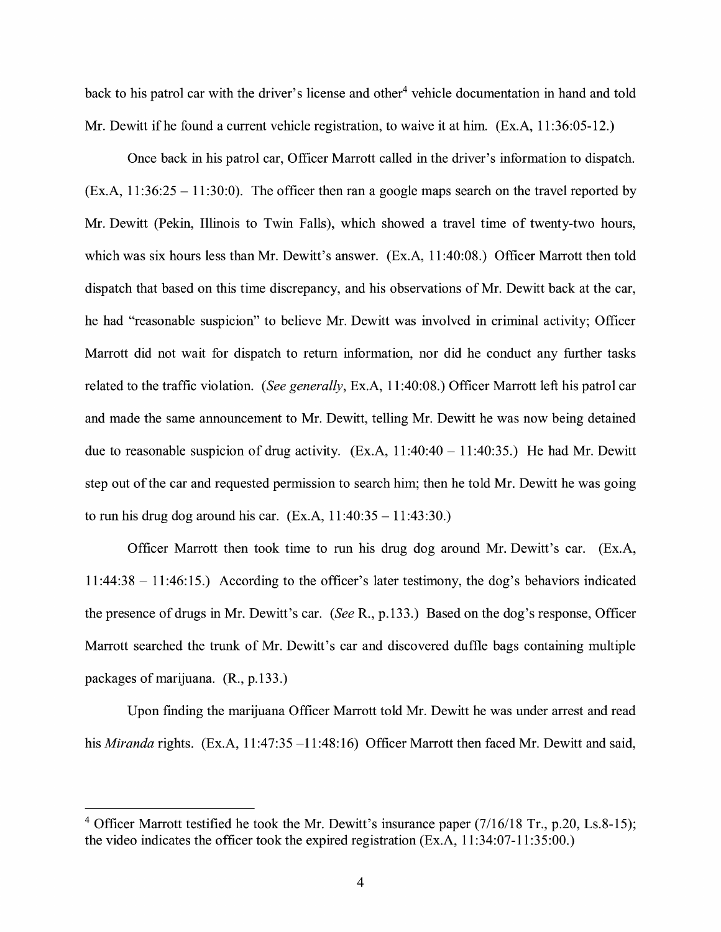back to his patrol car with the driver's license and other<sup>4</sup> vehicle documentation in hand and told Mr. Dewitt if he found a current vehicle registration, to waive it at him. (Ex.A, 11:36:05-12.)

Once back in his patrol car, Officer Marrott called in the driver's information to dispatch.  $(Ex.A, 11:36:25 - 11:30:0)$ . The officer then ran a google maps search on the travel reported by Mr. Dewitt (Pekin, Illinois to Twin Falls), which showed a travel time of twenty-two hours, which was six hours less than Mr. Dewitt's answer. (Ex.A, 11 :40:08.) Officer Marrott then told dispatch that based on this time discrepancy, and his observations of Mr. Dewitt back at the car, he had "reasonable suspicion" to believe Mr. Dewitt was involved in criminal activity; Officer Marrott did not wait for dispatch to return information, nor did he conduct any further tasks related to the traffic violation. *(See generally,* Ex.A, 11 :40:08.) Officer Marrott left his patrol car and made the same announcement to Mr. Dewitt, telling Mr. Dewitt he was now being detained due to reasonable suspicion of drug activity.  $(Ex.A, 11:40:40 - 11:40:35.)$  He had Mr. Dewitt step out of the car and requested permission to search him; then he told Mr. Dewitt he was going to run his drug dog around his car.  $(Ex.A, 11:40:35 - 11:43:30.)$ 

Officer Marrott then took time to run his drug dog around Mr. Dewitt's car. (Ex.A, 11 :44:38 - 11 :46: 15.) According to the officer's later testimony, the dog's behaviors indicated the presence of drugs in Mr. Dewitt's car. *(See* R., p.133.) Based on the dog's response, Officer Marrott searched the trunk of Mr. Dewitt's car and discovered duffle bags containing multiple packages of marijuana. (R., p.133.)

Upon finding the marijuana Officer Marrott told Mr. Dewitt he was under arrest and read his *Miranda* rights. (Ex.A, 11:47:35 -11:48:16) Officer Marrott then faced Mr. Dewitt and said,

 $4$  Officer Marrott testified he took the Mr. Dewitt's insurance paper (7/16/18 Tr., p.20, Ls.8-15); the video indicates the officer took the expired registration (Ex.A, 11 :34:07-11 :35:00.)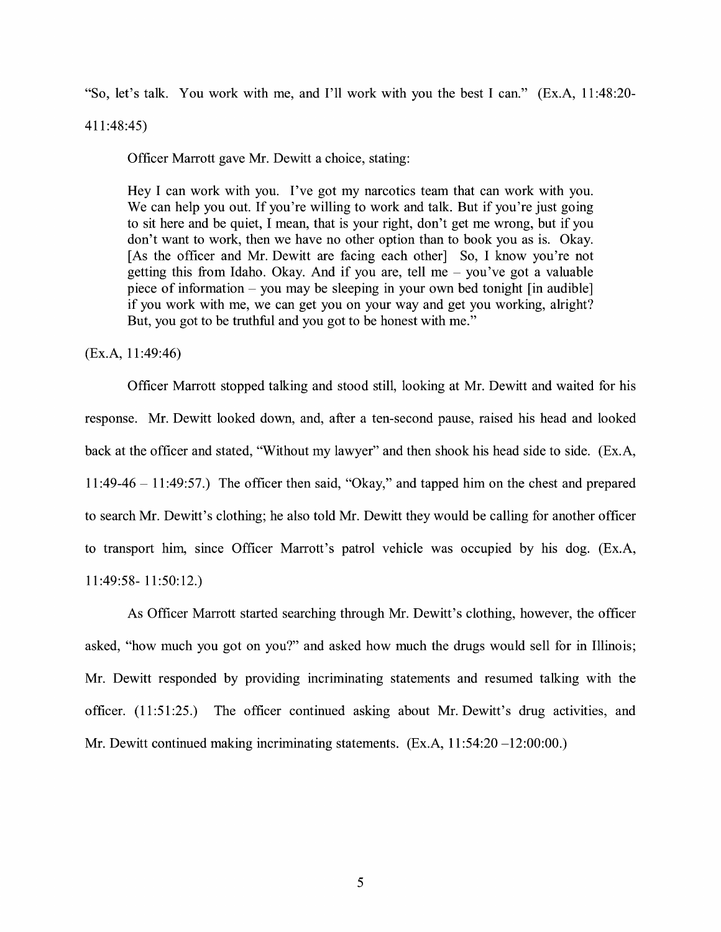"So, let's talk. You work with me, and I'll work with you the best I can." (Ex.A, 11 :48:20-

411 :48:45)

Officer Marrott gave Mr. Dewitt a choice, stating:

Hey I can work with you. I've got my narcotics team that can work with you. We can help you out. If you're willing to work and talk. But if you're just going to sit here and be quiet, I mean, that is your right, don't get me wrong, but if you don't want to work, then we have no other option than to book you as is. Okay. [As the officer and Mr. Dewitt are facing each other] So, I know you're not getting this from Idaho. Okay. And if you are, tell me  $-$  you've got a valuable piece of information – you may be sleeping in your own bed tonight [in audible] if you work with me, we can get you on your way and get you working, alright? But, you got to be truthful and you got to be honest with me."

(Ex.A, 11 :49:46)

Officer Marrott stopped talking and stood still, looking at Mr. Dewitt and waited for his response. Mr. Dewitt looked down, and, after a ten-second pause, raised his head and looked back at the officer and stated, "Without my lawyer" and then shook his head side to side. (Ex.A, 11:49-46 - 11:49:57.) The officer then said, "Okay," and tapped him on the chest and prepared to search Mr. Dewitt's clothing; he also told Mr. Dewitt they would be calling for another officer to transport him, since Officer Marrott's patrol vehicle was occupied by his dog. (Ex.A, 11 :49:58- 11 :50: 12.)

As Officer Marrott started searching through Mr. Dewitt's clothing, however, the officer asked, "how much you got on you?" and asked how much the drugs would sell for in Illinois; Mr. Dewitt responded by providing incriminating statements and resumed talking with the officer. (11:51:25.) The officer continued asking about Mr. Dewitt's drug activities, and Mr. Dewitt continued making incriminating statements. (Ex.A, 11:54:20 -12:00:00.)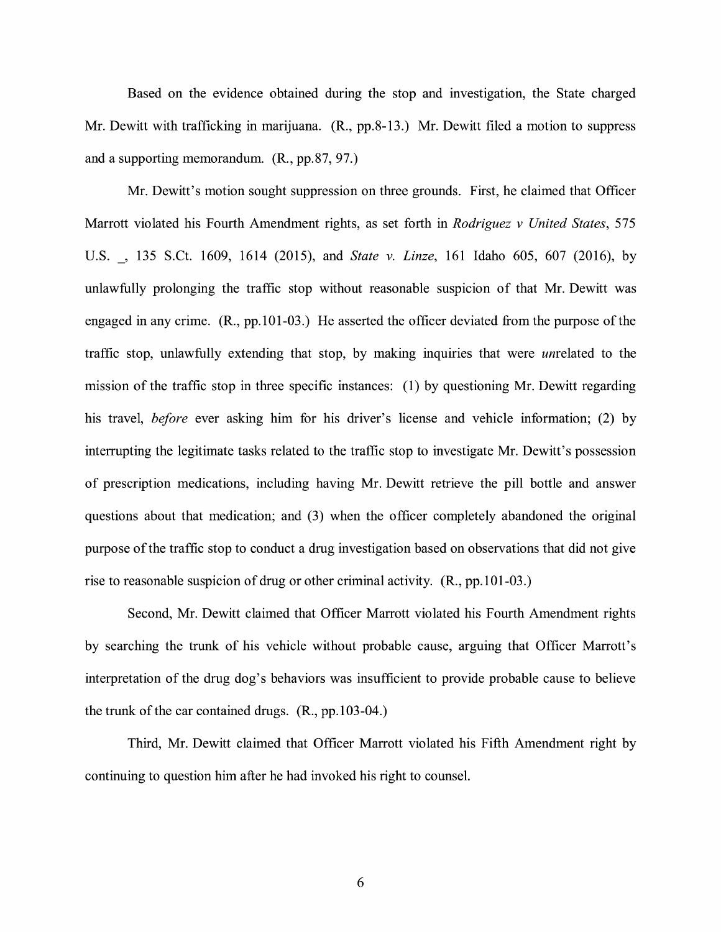Based on the evidence obtained during the stop and investigation, the State charged Mr. Dewitt with trafficking in marijuana. (R., pp.8-13.) Mr. Dewitt filed a motion to suppress and a supporting memorandum. (R., pp.87, 97.)

Mr. Dewitt's motion sought suppression on three grounds. First, he claimed that Officer Marrott violated his Fourth Amendment rights, as set forth in *Rodriguez v United States,* 575 U.S. \_, 135 S.Ct. 1609, 1614 (2015), and *State v. Linze,* 161 Idaho 605, 607 (2016), by unlawfully prolonging the traffic stop without reasonable suspicion of that Mr. Dewitt was engaged in any crime. (R., pp.101-03.) He asserted the officer deviated from the purpose of the traffic stop, unlawfully extending that stop, by making inquiries that were unrelated to the mission of the traffic stop in three specific instances: (1) by questioning Mr. Dewitt regarding his travel, *before* ever asking him for his driver's license and vehicle information; (2) by interrupting the legitimate tasks related to the traffic stop to investigate Mr. Dewitt's possession of prescription medications, including having Mr. Dewitt retrieve the pill bottle and answer questions about that medication; and (3) when the officer completely abandoned the original purpose of the traffic stop to conduct a drug investigation based on observations that did not give rise to reasonable suspicion of drug or other criminal activity. (R., pp. 101-03.)

Second, Mr. Dewitt claimed that Officer Marrott violated his Fourth Amendment rights by searching the trunk of his vehicle without probable cause, arguing that Officer Marrott's interpretation of the drug dog's behaviors was insufficient to provide probable cause to believe the trunk of the car contained drugs. (R., pp.103-04.)

Third, Mr. Dewitt claimed that Officer Marrott violated his Fifth Amendment right by continuing to question him after he had invoked his right to counsel.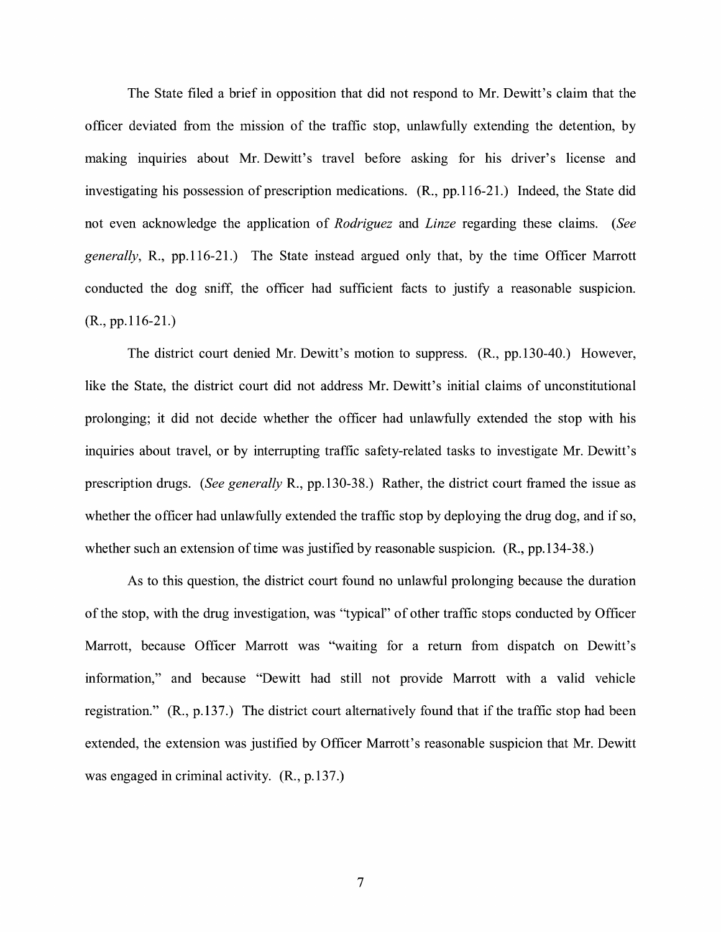The State filed a brief in opposition that did not respond to Mr. Dewitt's claim that the officer deviated from the mission of the traffic stop, unlawfully extending the detention, by making inquiries about Mr. Dewitt's travel before asking for his driver's license and investigating his possession of prescription medications. (R., pp.116-21.) Indeed, the State did not even acknowledge the application of *Rodriguez* and *Linze* regarding these claims. *(See generally,* R., pp.116-21.) The State instead argued only that, by the time Officer Marrott conducted the dog sniff, the officer had sufficient facts to justify a reasonable suspicion. (R., pp.116-21.)

The district court denied Mr. Dewitt's motion to suppress. **(R.,** pp.130-40.) However, like the State, the district court did not address Mr. Dewitt's initial claims of unconstitutional prolonging; it did not decide whether the officer had unlawfully extended the stop with his inquiries about travel, or by interrupting traffic safety-related tasks to investigate Mr. Dewitt's prescription drugs. *(See generally* R., pp.130-38.) Rather, the district court framed the issue as whether the officer had unlawfully extended the traffic stop by deploying the drug dog, and if so, whether such an extension of time was justified by reasonable suspicion. (R., pp.134-38.)

As to this question, the district court found no unlawful prolonging because the duration of the stop, with the drug investigation, was "typical" of other traffic stops conducted by Officer Marrott, because Officer Marrott was "waiting for a return from dispatch on Dewitt's information," and because "Dewitt had still not provide Marrott with a valid vehicle registration." (R., p.137.) The district court alternatively found that if the traffic stop had been extended, the extension was justified by Officer Marrott's reasonable suspicion that Mr. Dewitt was engaged in criminal activity. (R., p.137.)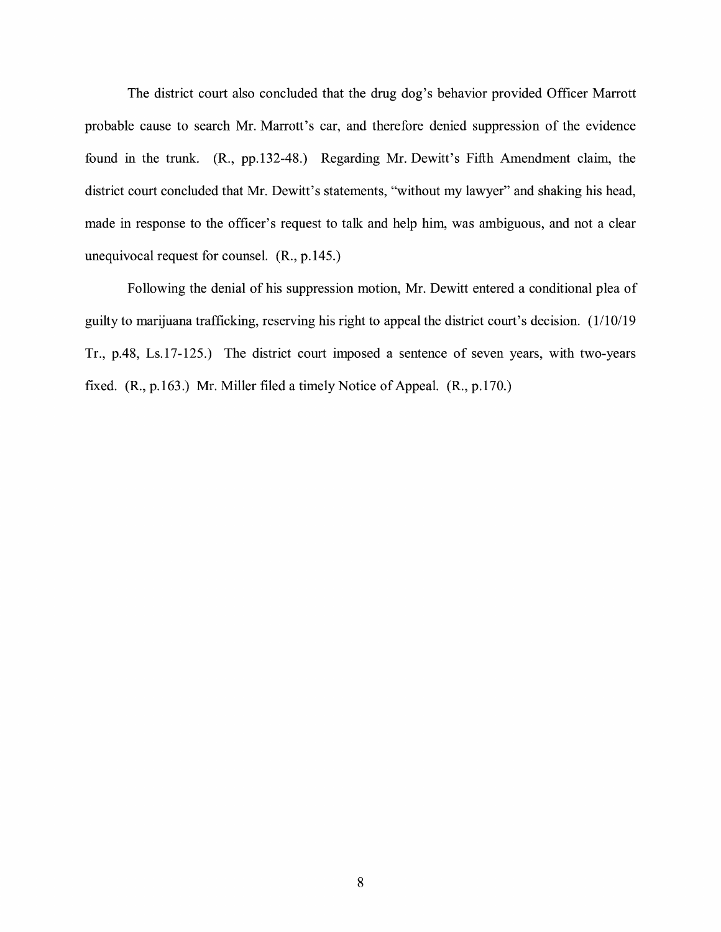The district court also concluded that the drug dog's behavior provided Officer Marrott probable cause to search Mr. Marrott's car, and therefore denied suppression of the evidence found in the trunk. (R., pp.132-48.) Regarding Mr. Dewitt's Fifth Amendment claim, the district court concluded that Mr. Dewitt's statements, "without my lawyer" and shaking his head, made in response to the officer's request to talk and help him, was ambiguous, and not a clear unequivocal request for counsel. (R., p.145.)

Following the denial of his suppression motion, Mr. Dewitt entered a conditional plea of guilty to marijuana trafficking, reserving his right to appeal the district court's decision. ( 1/10/ 19 Tr., p.48, Ls.17-125.) The district court imposed a sentence of seven years, with two-years fixed. (R., p.163 .) Mr. Miller filed a timely Notice of Appeal. (R., p.170.)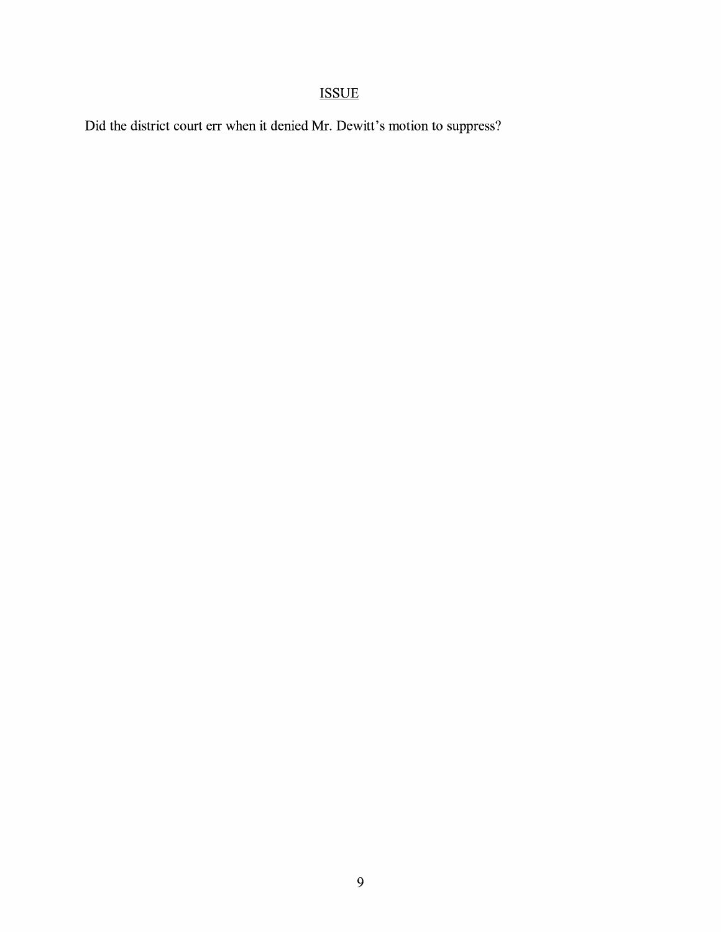## ISSUE

Did the district court err when it denied Mr. Dewitt's motion to suppress?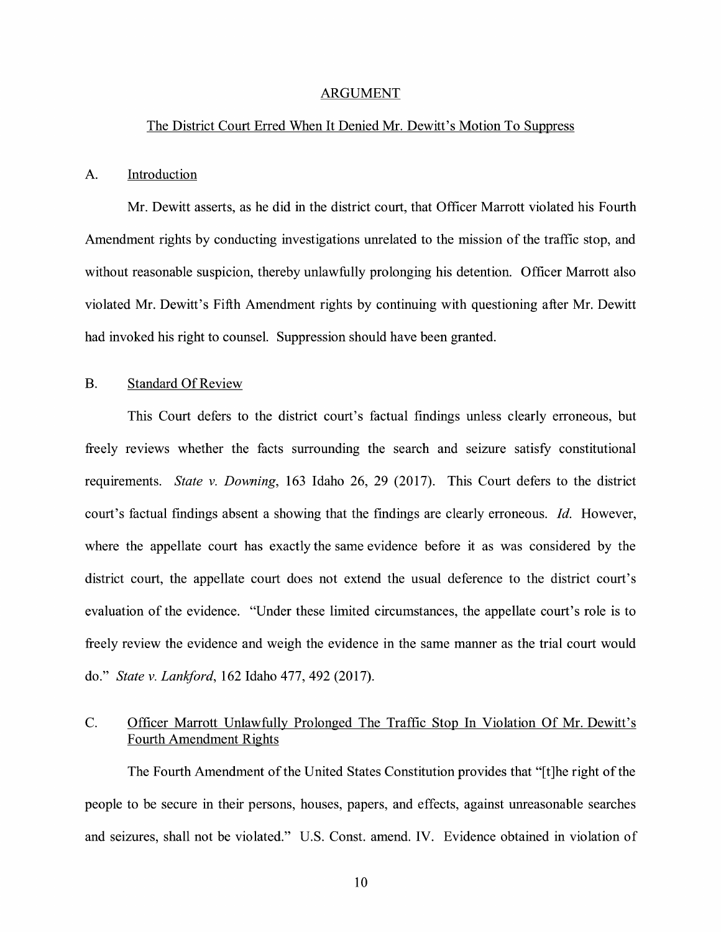#### ARGUMENT

#### The District Court Erred When It Denied Mr. Dewitt's Motion To Suppress

#### A. Introduction

Mr. Dewitt asserts, as he did in the district court, that Officer Marrott violated his Fourth Amendment rights by conducting investigations unrelated to the mission of the traffic stop, and without reasonable suspicion, thereby unlawfully prolonging his detention. Officer Marrott also violated Mr. Dewitt's Fifth Amendment rights by continuing with questioning after Mr. Dewitt had invoked his right to counsel. Suppression should have been granted.

#### B. Standard Of Review

This Court defers to the district court's factual findings unless clearly erroneous, but freely reviews whether the facts surrounding the search and seizure satisfy constitutional requirements. *State v. Downing,* 163 Idaho 26, 29 (2017). This Court defers to the district court's factual findings absent a showing that the findings are clearly erroneous. *Id.* However, where the appellate court has exactly the same evidence before it as was considered by the district court, the appellate court does not extend the usual deference to the district court's evaluation of the evidence. "Under these limited circumstances, the appellate court's role is to freely review the evidence and weigh the evidence in the same manner as the trial court would do." *State v. Lanliford,* 162 Idaho 477, 492 (2017).

## C. Officer Marrott Unlawfully Prolonged The Traffic Stop In Violation Of Mr. Dewitt's Fourth Amendment Rights

The Fourth Amendment of the United States Constitution provides that "[t]he right of the people to be secure in their persons, houses, papers, and effects, against unreasonable searches and seizures, shall not be violated." U.S. Const. amend. IV. Evidence obtained in violation of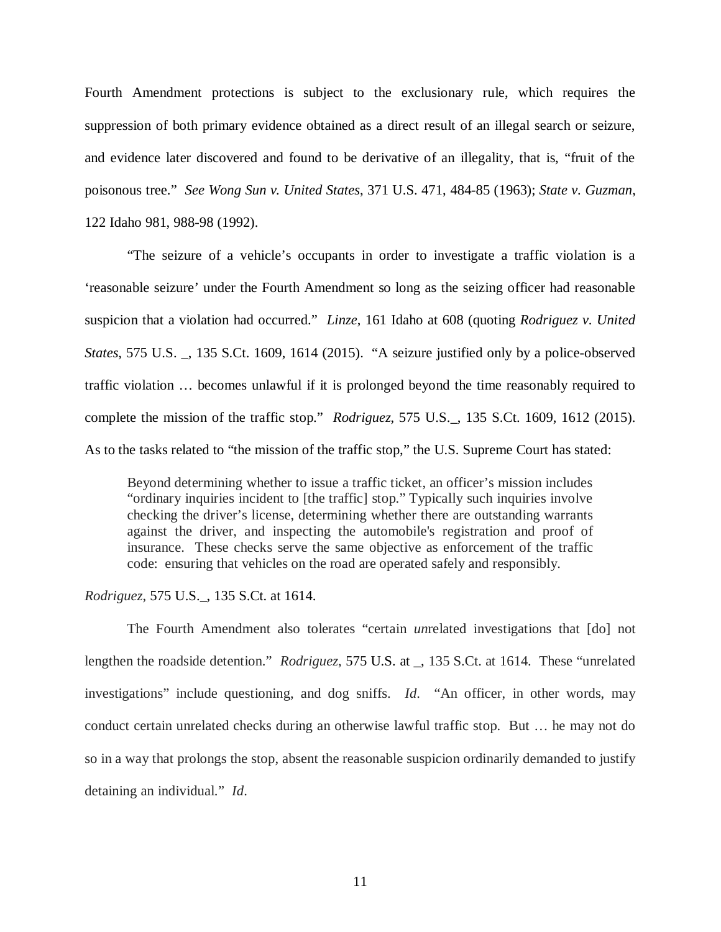Fourth Amendment protections is subject to the exclusionary rule, which requires the suppression of both primary evidence obtained as a direct result of an illegal search or seizure, and evidence later discovered and found to be derivative of an illegality, that is, "fruit of the poisonous tree." *See Wong Sun v. United States*, 371 U.S. 471, 484-85 (1963); *State v. Guzman*, 122 Idaho 981, 988-98 (1992).

"The seizure of a vehicle's occupants in order to investigate a traffic violation is a 'reasonable seizure' under the Fourth Amendment so long as the seizing officer had reasonable suspicion that a violation had occurred." *Linze*, 161 Idaho at 608 (quoting *Rodriguez v. United States*, 575 U.S. \_, 135 S.Ct. 1609, 1614 (2015). "A seizure justified only by a police-observed traffic violation … becomes unlawful if it is prolonged beyond the time reasonably required to complete the mission of the traffic stop." *Rodriguez*, 575 U.S.\_, 135 S.Ct. 1609, 1612 (2015). As to the tasks related to "the mission of the traffic stop," the U.S. Supreme Court has stated:

Beyond determining whether to issue a traffic ticket, an officer's mission includes "ordinary inquiries incident to [the traffic] stop." Typically such inquiries involve checking the driver's license, determining whether there are outstanding warrants against the driver, and inspecting the automobile's registration and proof of insurance. These checks serve the same objective as enforcement of the traffic code: ensuring that vehicles on the road are operated safely and responsibly.

#### *Rodriguez*, 575 U.S.\_, 135 S.Ct. at 1614.

The Fourth Amendment also tolerates "certain *un*related investigations that [do] not lengthen the roadside detention." *Rodriguez*, 575 U.S. at \_, 135 S.Ct. at 1614. These "unrelated investigations" include questioning, and dog sniffs. *Id*. "An officer, in other words, may conduct certain unrelated checks during an otherwise lawful traffic stop. But … he may not do so in a way that prolongs the stop, absent the reasonable suspicion ordinarily demanded to justify detaining an individual." *Id*.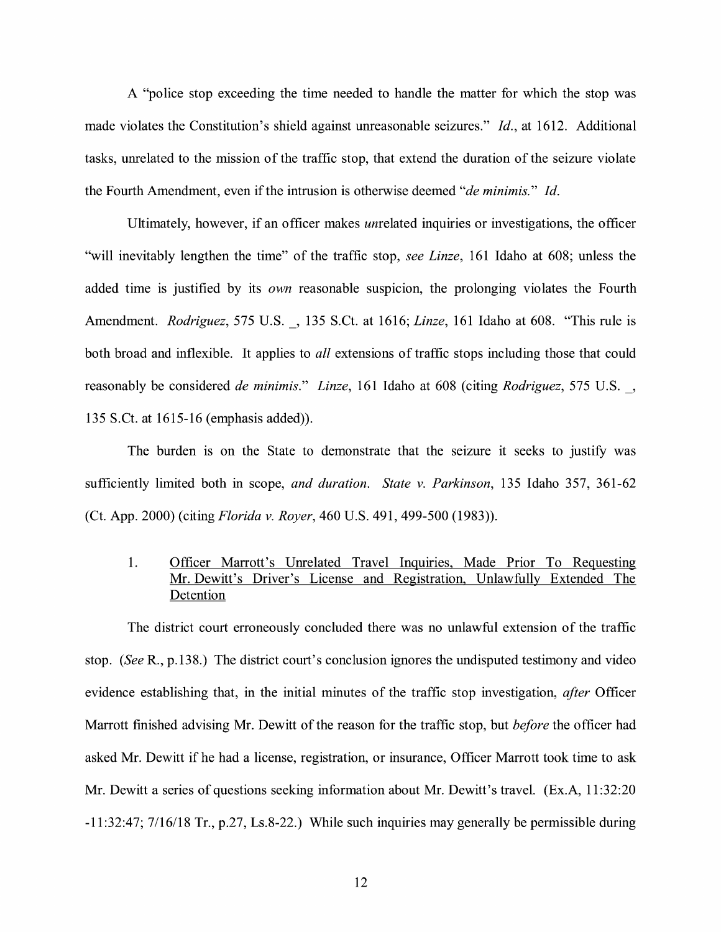A "police stop exceeding the time needed to handle the matter for which the stop was made violates the Constitution's shield against unreasonable seizures." *Id.,* at 1612. Additional tasks, unrelated to the mission of the traffic stop, that extend the duration of the seizure violate the Fourth Amendment, even if the intrusion is otherwise deemed *"de minimis." Id.* 

Ultimately, however, if an officer makes unrelated inquiries or investigations, the officer "will inevitably lengthen the time" of the traffic stop, *see Linze,* 161 Idaho at 608; unless the added time is justified by its *own* reasonable suspicion, the prolonging violates the Fourth Amendment. *Rodriguez,* 575 U.S.\_, 135 S.Ct. at 1616; *Linze,* 161 Idaho at 608. "This rule is both broad and inflexible. It applies to *all* extensions of traffic stops including those that could reasonably be considered *de minimis." Linze,* 161 Idaho at 608 (citing *Rodriguez,* 575 U.S.\_, 135 S.Ct. at 1615-16 (emphasis added)).

The burden is on the State to demonstrate that the seizure it seeks to justify was sufficiently limited both in scope, *and duration. State v. Parkinson,* 135 Idaho 357, 361-62 (Ct. App. 2000) (citing *Florida v. Royer,* 460 U.S. 491, 499-500 (1983)).

### 1. Officer Marrott's Unrelated Travel Inquiries, Made Prior To Requesting Mr. Dewitt's Driver's License and Registration, Unlawfully Extended The Detention

The district court erroneously concluded there was no unlawful extension of the traffic stop. *(See* R., p.138.) The district court's conclusion ignores the undisputed testimony and video evidence establishing that, in the initial minutes of the traffic stop investigation, *after* Officer Marrott finished advising Mr. Dewitt of the reason for the traffic stop, but *before* the officer had asked Mr. Dewitt if he had a license, registration, or insurance, Officer Marrott took time to ask Mr. Dewitt a series of questions seeking information about Mr. Dewitt's travel. (Ex.A, 11:32:20) -11:32:47; 7/16/18 Tr., p.27, Ls.8-22.) While such inquiries may generally be permissible during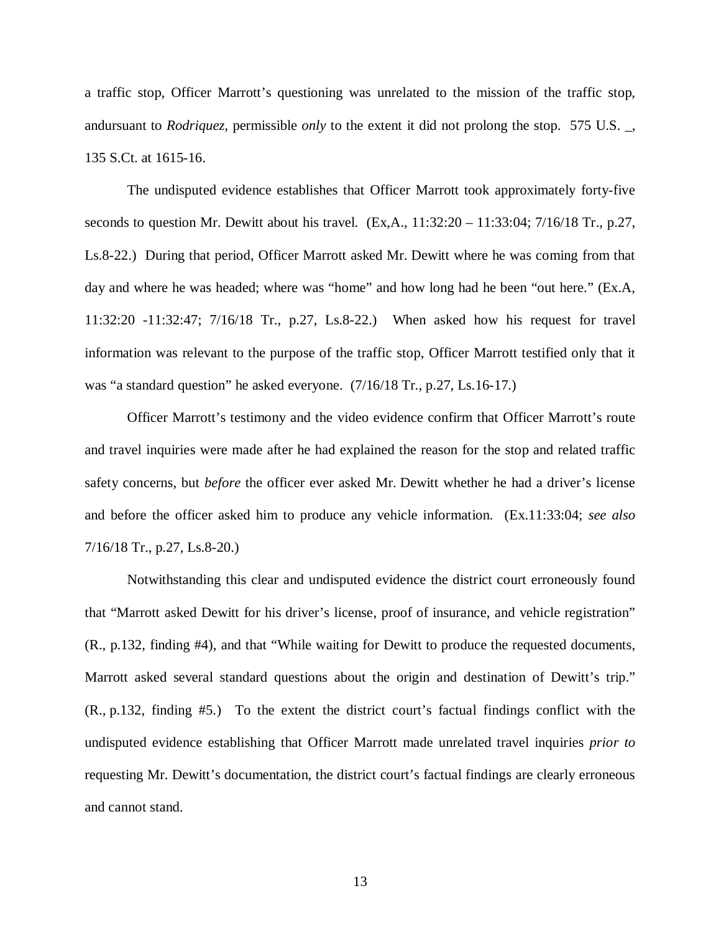a traffic stop, Officer Marrott's questioning was unrelated to the mission of the traffic stop, andursuant to *Rodriquez*, permissible *only* to the extent it did not prolong the stop. 575 U.S. \_, 135 S.Ct. at 1615-16.

The undisputed evidence establishes that Officer Marrott took approximately forty-five seconds to question Mr. Dewitt about his travel.  $(Ex, A., 11:32:20 - 11:33:04; 7/16/18 \text{ Tr.}, p.27,$ Ls.8-22.) During that period, Officer Marrott asked Mr. Dewitt where he was coming from that day and where he was headed; where was "home" and how long had he been "out here." (Ex.A, 11:32:20 -11:32:47; 7/16/18 Tr., p.27, Ls.8-22.) When asked how his request for travel information was relevant to the purpose of the traffic stop, Officer Marrott testified only that it was "a standard question" he asked everyone. (7/16/18 Tr., p.27, Ls.16-17.)

Officer Marrott's testimony and the video evidence confirm that Officer Marrott's route and travel inquiries were made after he had explained the reason for the stop and related traffic safety concerns, but *before* the officer ever asked Mr. Dewitt whether he had a driver's license and before the officer asked him to produce any vehicle information. (Ex.11:33:04; *see also* 7/16/18 Tr., p.27, Ls.8-20.)

Notwithstanding this clear and undisputed evidence the district court erroneously found that "Marrott asked Dewitt for his driver's license, proof of insurance, and vehicle registration" (R., p.132, finding #4), and that "While waiting for Dewitt to produce the requested documents, Marrott asked several standard questions about the origin and destination of Dewitt's trip." (R., p.132, finding #5.) To the extent the district court's factual findings conflict with the undisputed evidence establishing that Officer Marrott made unrelated travel inquiries *prior to* requesting Mr. Dewitt's documentation, the district court's factual findings are clearly erroneous and cannot stand.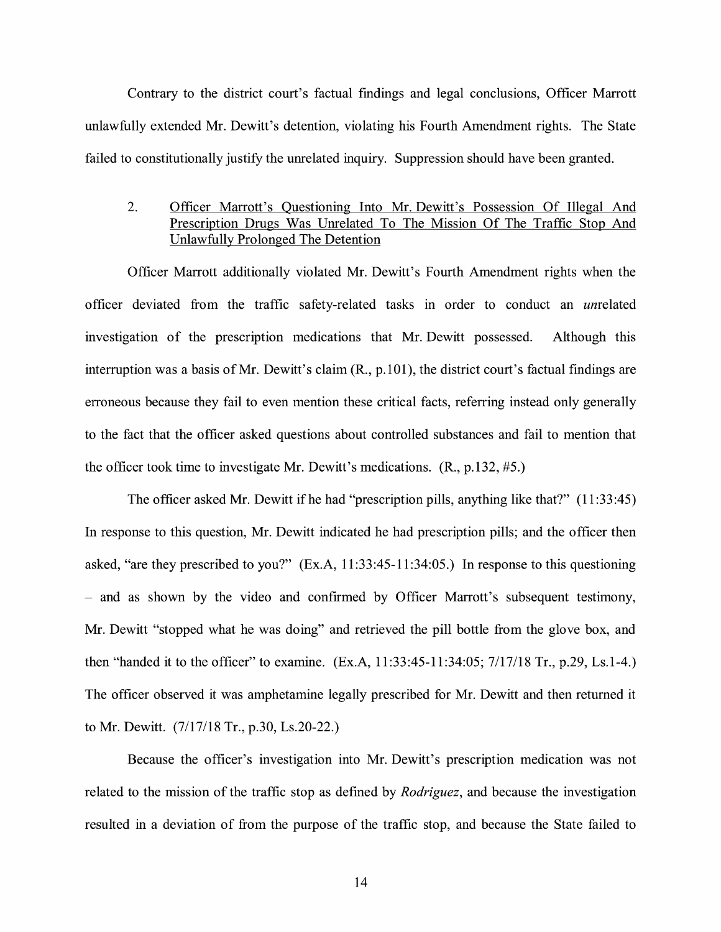Contrary to the district court's factual findings and legal conclusions, Officer Marrott unlawfully extended Mr. Dewitt's detention, violating his Fourth Amendment rights. The State failed to constitutionally justify the unrelated inquiry. Suppression should have been granted.

## 2. Officer Marrott's Questioning Into Mr. Dewitt's Possession Of Illegal And Prescription Drugs Was Unrelated To The Mission Of The Traffic Stop And Unlawfully Prolonged The Detention

Officer Marrott additionally violated Mr. Dewitt's Fourth Amendment rights when the officer deviated from the traffic safety-related tasks in order to conduct an unrelated investigation of the prescription medications that Mr. Dewitt possessed. Although this interruption was a basis of Mr. Dewitt's claim (R., p.101), the district court's factual findings are erroneous because they fail to even mention these critical facts, referring instead only generally to the fact that the officer asked questions about controlled substances and fail to mention that the officer took time to investigate Mr. Dewitt's medications. (R., p.132, #5.)

The officer asked Mr. Dewitt if he had "prescription pills, anything like that?" (11:33:45) In response to this question, Mr. Dewitt indicated he had prescription pills; and the officer then asked, "are they prescribed to you?" (Ex.A, 11:33:45-11:34:05.) In response to this questioning - and as shown by the video and confirmed by Officer Marrott's subsequent testimony, Mr. Dewitt "stopped what he was doing" and retrieved the pill bottle from the glove box, and then "handed it to the officer" to examine. (Ex.A, 11:33:45-11:34:05; 7/17/18 Tr., p.29, Ls.1-4.) The officer observed it was amphetamine legally prescribed for Mr. Dewitt and then returned it to Mr. Dewitt. (7/17/18 Tr., p.30, Ls.20-22.)

Because the officer's investigation into Mr. Dewitt's prescription medication was not related to the mission of the traffic stop as defined by *Rodriguez,* and because the investigation resulted in a deviation of from the purpose of the traffic stop, and because the State failed to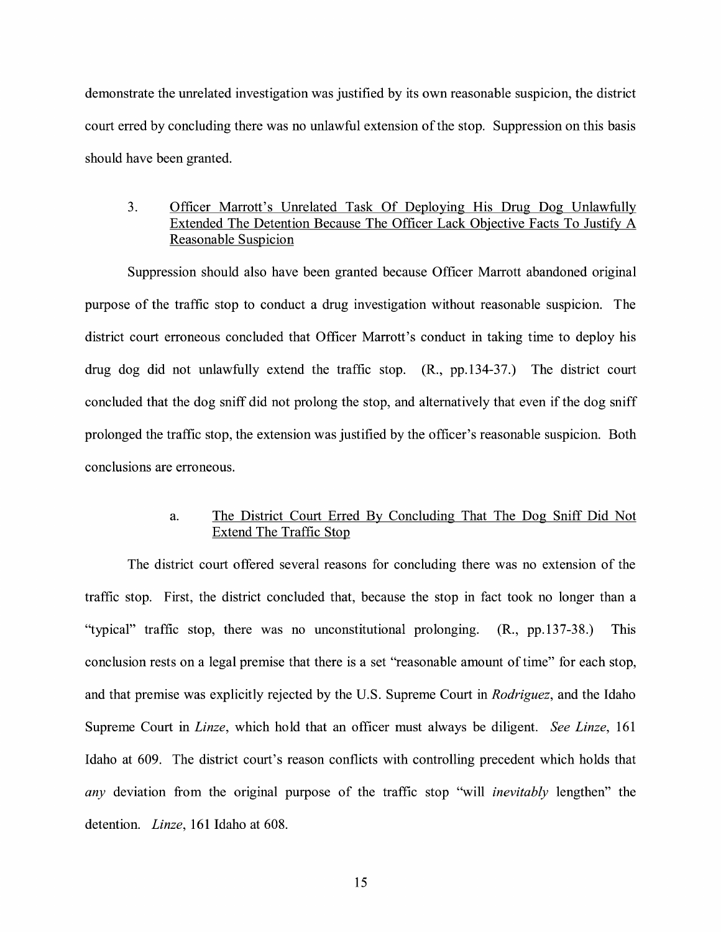demonstrate the unrelated investigation was justified by its own reasonable suspicion, the district court erred by concluding there was no unlawful extension of the stop. Suppression on this basis should have been granted.

## 3. Officer Marrott's Unrelated Task Of Deploying His Drug Dog Unlawfully Extended The Detention Because The Officer Lack Objective Facts To Justify A Reasonable Suspicion

Suppression should also have been granted because Officer Marrott abandoned original purpose of the traffic stop to conduct a drug investigation without reasonable suspicion. The district court erroneous concluded that Officer Marrott's conduct in taking time to deploy his drug dog did not unlawfully extend the traffic stop. (R., pp.134-37.) The district court concluded that the dog sniff did not prolong the stop, and alternatively that even if the dog sniff prolonged the traffic stop, the extension was justified by the officer's reasonable suspicion. Both conclusions are erroneous.

## a. The District Court Erred By Concluding That The Dog Sniff Did Not Extend The Traffic Stop

The district court offered several reasons for concluding there was no extension of the traffic stop. First, the district concluded that, because the stop in fact took no longer than a "typical" traffic stop, there was no unconstitutional prolonging. (R., pp.137-38.) This conclusion rests on a legal premise that there is a set "reasonable amount of time" for each stop, and that premise was explicitly rejected by the U.S. Supreme Court in *Rodriguez,* and the Idaho Supreme Court in *Linze,* which hold that an officer must always be diligent. *See Linze,* 161 Idaho at 609. The district court's reason conflicts with controlling precedent which holds that *any* deviation from the original purpose of the traffic stop "will *inevitably* lengthen" the detention. *Linze,* 161 Idaho at 608.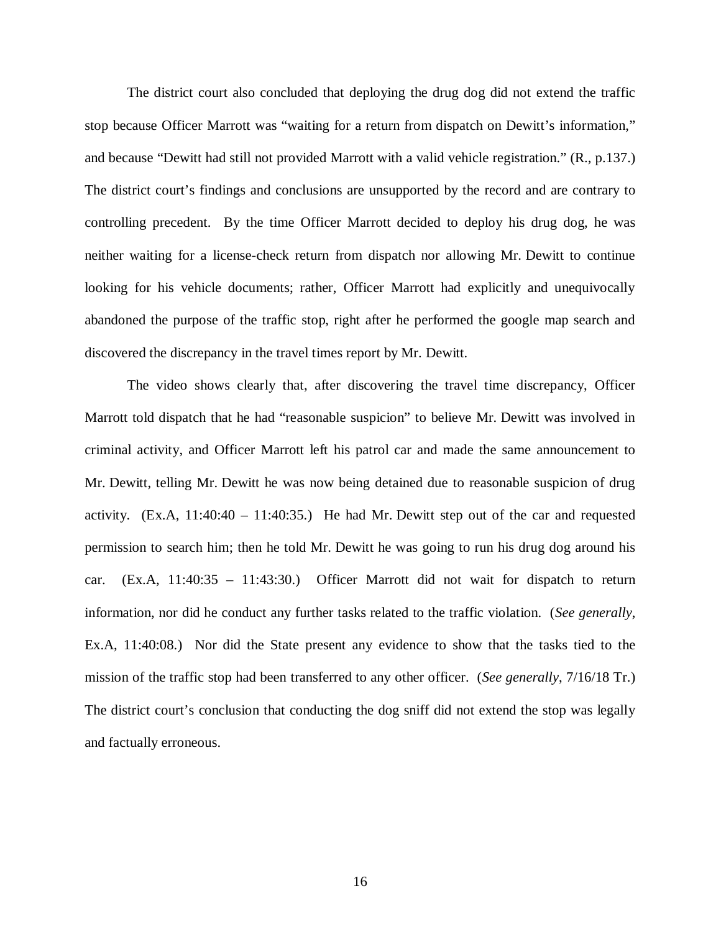The district court also concluded that deploying the drug dog did not extend the traffic stop because Officer Marrott was "waiting for a return from dispatch on Dewitt's information," and because "Dewitt had still not provided Marrott with a valid vehicle registration." (R., p.137.) The district court's findings and conclusions are unsupported by the record and are contrary to controlling precedent. By the time Officer Marrott decided to deploy his drug dog, he was neither waiting for a license-check return from dispatch nor allowing Mr. Dewitt to continue looking for his vehicle documents; rather, Officer Marrott had explicitly and unequivocally abandoned the purpose of the traffic stop, right after he performed the google map search and discovered the discrepancy in the travel times report by Mr. Dewitt.

The video shows clearly that, after discovering the travel time discrepancy, Officer Marrott told dispatch that he had "reasonable suspicion" to believe Mr. Dewitt was involved in criminal activity, and Officer Marrott left his patrol car and made the same announcement to Mr. Dewitt, telling Mr. Dewitt he was now being detained due to reasonable suspicion of drug activity.  $(Ex.A, 11:40:40 - 11:40:35.)$  He had Mr. Dewitt step out of the car and requested permission to search him; then he told Mr. Dewitt he was going to run his drug dog around his car. (Ex.A, 11:40:35 – 11:43:30.) Officer Marrott did not wait for dispatch to return information, nor did he conduct any further tasks related to the traffic violation. (*See generally*, Ex.A, 11:40:08.) Nor did the State present any evidence to show that the tasks tied to the mission of the traffic stop had been transferred to any other officer. (*See generally*, 7/16/18 Tr.) The district court's conclusion that conducting the dog sniff did not extend the stop was legally and factually erroneous.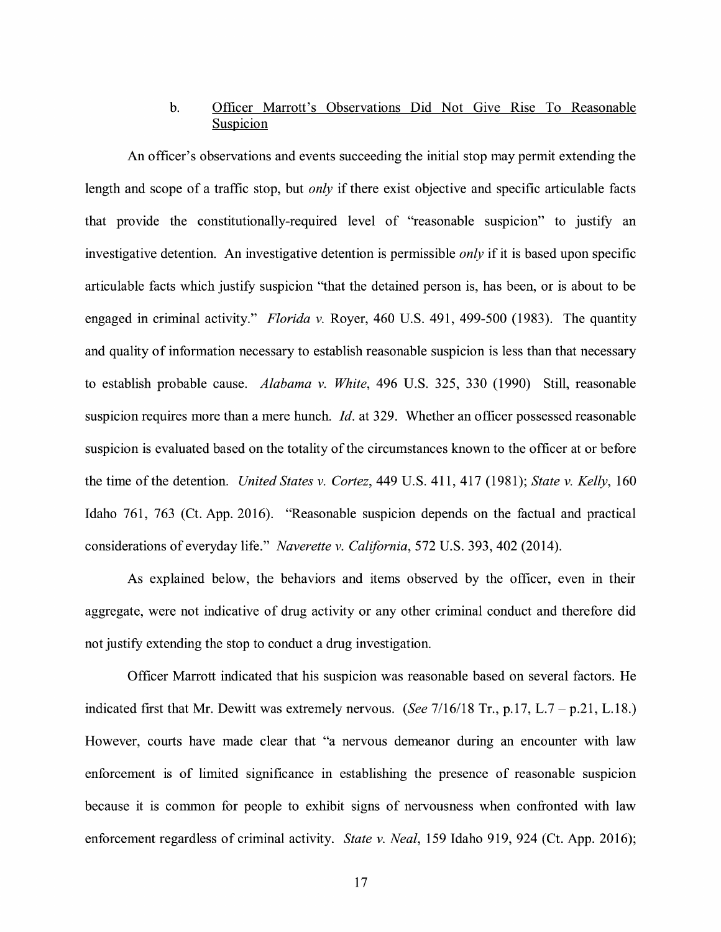## b. Officer Marrott's Observations Did Not Give Rise To Reasonable Suspicion

An officer's observations and events succeeding the initial stop may permit extending the length and scope of a traffic stop, but *only* if there exist objective and specific articulable facts that provide the constitutionally-required level of "reasonable suspicion" to justify an investigative detention. An investigative detention is permissible *only* if it is based upon specific articulable facts which justify suspicion "that the detained person is, has been, or is about to be engaged in criminal activity." *Florida v.* Royer, 460 U.S. 491, 499-500 (1983). The quantity and quality of information necessary to establish reasonable suspicion is less than that necessary to establish probable cause. *Alabama v. White,* 496 U.S. 325, 330 (1990) Still, reasonable suspicion requires more than a mere hunch. *Id.* at 329. Whether an officer possessed reasonable suspicion is evaluated based on the totality of the circumstances known to the officer at or before the time of the detention. *United States v. Cortez,* 449 U.S. 411, 417 (1981); *State v. Kelly,* 160 Idaho 761, 763 (Ct. App. 2016). "Reasonable suspicion depends on the factual and practical considerations of everyday life." *Naverette v. California,* 572 U.S. 393, 402 (2014).

As explained below, the behaviors and items observed by the officer, even in their aggregate, were not indicative of drug activity or any other criminal conduct and therefore did not justify extending the stop to conduct a drug investigation.

Officer Marrott indicated that his suspicion was reasonable based on several factors. He indicated first that Mr. Dewitt was extremely nervous. *(See* 7/16/18 Tr., p.17, L.7 - p.21, L.18.) However, courts have made clear that "a nervous demeanor during an encounter with law enforcement is of limited significance in establishing the presence of reasonable suspicion because it is common for people to exhibit signs of nervousness when confronted with law enforcement regardless of criminal activity. *State v. Neal,* 159 Idaho 919, 924 (Ct. App. 2016);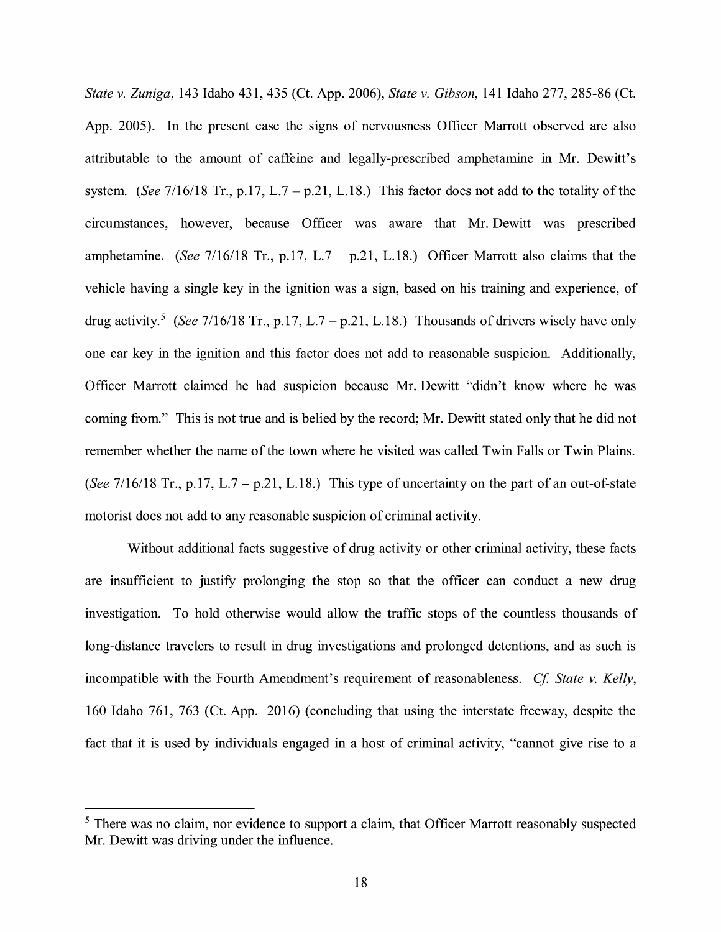*State v. Zuniga,* 143 Idaho 431, 435 (Ct. App. 2006), *State v. Gibson,* 141 Idaho 277, 285-86 (Ct. App. 2005). In the present case the signs of nervousness Officer Marrott observed are also attributable to the amount of caffeine and legally-prescribed amphetamine in Mr. Dewitt's system. *(See 7/16/18 Tr., p.17, L.7 – p.21, L.18.)* This factor does not add to the totality of the circumstances, however, because Officer was aware that Mr. Dewitt was prescribed amphetamine. *(See 7/16/18 Tr., p.17, L.7 – p.21, L.18.)* Officer Marrott also claims that the vehicle having a single key in the ignition was a sign, based on his training and experience, of drug activity.<sup>5</sup> (See 7/16/18 Tr., p.17, L.7 – p.21, L.18.) Thousands of drivers wisely have only one car key in the ignition and this factor does not add to reasonable suspicion. Additionally, Officer Marrott claimed he had suspicion because Mr. Dewitt "didn't know where he was coming from." This is not true and is belied by the record; Mr. Dewitt stated only that he did not remember whether the name of the town where he visited was called Twin Falls or Twin Plains. *(See*  $7/16/18$  *Tr., p.17, L.7 – p.21, L.18.)* This type of uncertainty on the part of an out-of-state motorist does not add to any reasonable suspicion of criminal activity.

Without additional facts suggestive of drug activity or other criminal activity, these facts are insufficient to justify prolonging the stop so that the officer can conduct a new drug investigation. To hold otherwise would allow the traffic stops of the countless thousands of long-distance travelers to result in drug investigations and prolonged detentions, and as such is incompatible with the Fourth Amendment's requirement of reasonableness. *Cf. State v. Kelly*, 160 Idaho 761, 763 (Ct. App. 2016) (concluding that using the interstate freeway, despite the fact that it is used by individuals engaged in a host of criminal activity, "cannot give rise to a

<sup>&</sup>lt;sup>5</sup> There was no claim, nor evidence to support a claim, that Officer Marrott reasonably suspected Mr. Dewitt was driving under the influence.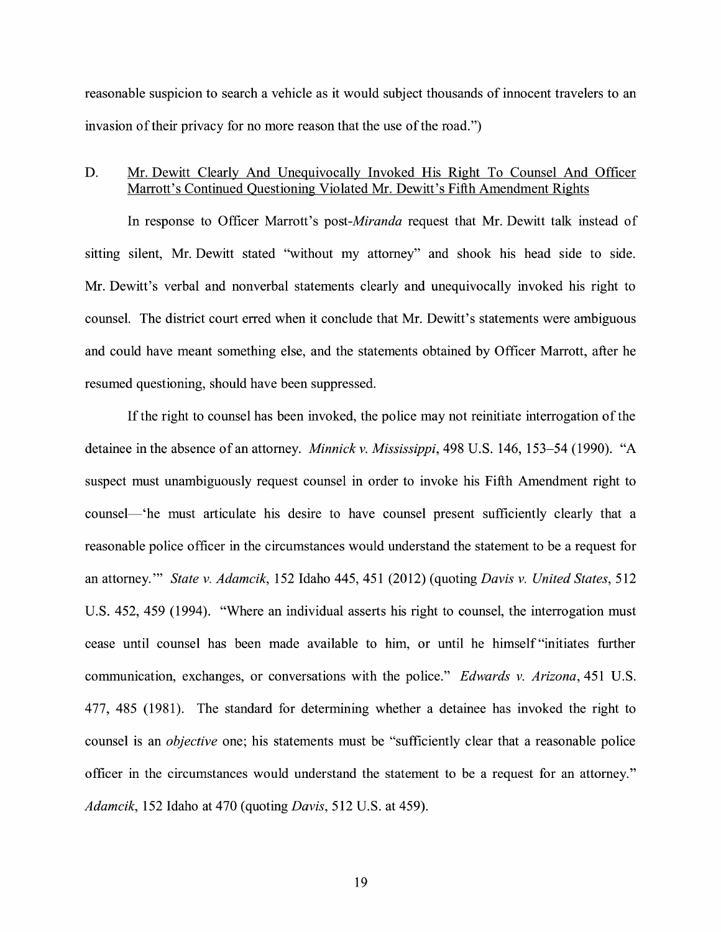reasonable suspicion to search a vehicle as it would subject thousands of innocent travelers to an invasion of their privacy for no more reason that the use of the road.")

### D. Mr. Dewitt Clearly And Unequivocally Invoked His Right To Counsel And Officer Marrott's Continued Questioning Violated Mr. Dewitt's Fifth Amendment Rights

In response to Officer Marrott's *post-Miranda* request that Mr. Dewitt talk instead of sitting silent, Mr. Dewitt stated ''without my attorney" and shook his head side to side. Mr. Dewitt's verbal and nonverbal statements clearly and unequivocally invoked his right to counsel. The district court erred when it conclude that Mr. Dewitt's statements were ambiguous and could have meant something else, and the statements obtained by Officer Marrott, after he resumed questioning, should have been suppressed.

If the right to counsel has been invoked, the police may not reinitiate interrogation of the detainee in the absence of an attorney. *Minnick v. Mississippi*, 498 U.S. 146, 153–54 (1990). "A suspect must unambiguously request counsel in order to invoke his Fifth Amendment right to counsel—'he must articulate his desire to have counsel present sufficiently clearly that a reasonable police officer in the circumstances would understand the statement to be a request for an attorney.'" *State v. Adamcik,* 152 Idaho 445, 451 (2012) (quoting *Davis v. United States,* 512 U.S. 452, 459 (1994). "Where an individual asserts his right to counsel, the interrogation must cease until counsel has been made available to him, or until he himself "initiates further communication, exchanges, or conversations with the police." *Edwards v. Arizona,* 451 U.S. 477, 485 (1981). The standard for determining whether a detainee has invoked the right to counsel is an *objective* one; his statements must be "sufficiently clear that a reasonable police officer in the circumstances would understand the statement to be a request for an attorney." *Adamcik,* 152 Idaho at 470 (quoting *Davis,* 512 U.S. at 459).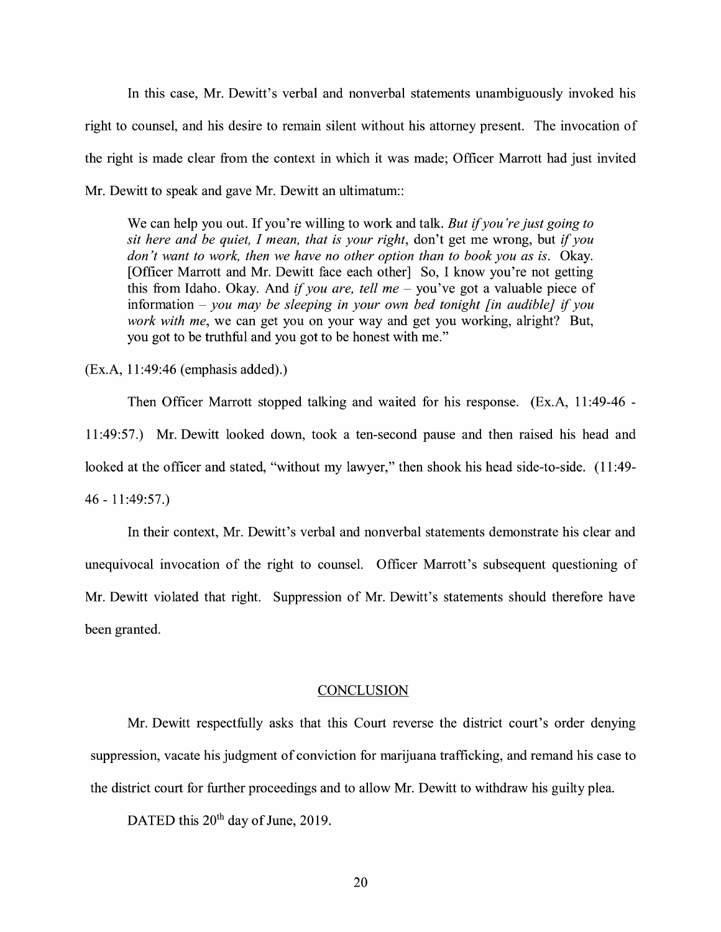In this case, Mr. Dewitt's verbal and nonverbal statements unambiguously invoked his right to counsel, and his desire to remain silent without his attorney present. The invocation of the right is made clear from the context in which it was made; Officer Marrott had just invited Mr. Dewitt to speak and gave Mr. Dewitt an ultimatum::

We can help you out. If you're willing to work and talk. *But* if *you're just going to sit here and be quiet, I mean, that is your right,* don't get me wrong, but if *you*  don't want to work, then we have no other option than to book you as is. Okay. [Officer Marrott and Mr. Dewitt face each other] So, I know you're not getting this from Idaho. Okay. And *if you are, tell me* – you've got a valuable piece of information - *you may be sleeping in your own bed tonight [in audible}* if *you work with me,* we can get you on your way and get you working, alright? But, you got to be truthful and you got to be honest with me."

(Ex.A, 11:49:46 (emphasis added).)

Then Officer Marrott stopped talking and waited for his response. (Ex.A, 11 :49-46 - 11:49:57.) Mr. Dewitt looked down, took a ten-second pause and then raised his head and looked at the officer and stated, "without my lawyer," then shook his head side-to-side. (11:49-46 - 11 :49:57.)

In their context, Mr. Dewitt's verbal and nonverbal statements demonstrate his clear and unequivocal invocation of the right to counsel. Officer Marrott's subsequent questioning of Mr. Dewitt violated that right. Suppression of Mr. Dewitt's statements should therefore have been granted.

#### **CONCLUSION**

Mr. Dewitt respectfully asks that this Court reverse the district court's order denying suppression, vacate his judgment of conviction for marijuana trafficking, and remand his case to the district court for further proceedings and to allow Mr. Dewitt to withdraw his guilty plea.

DATED this 20<sup>th</sup> day of June, 2019.

20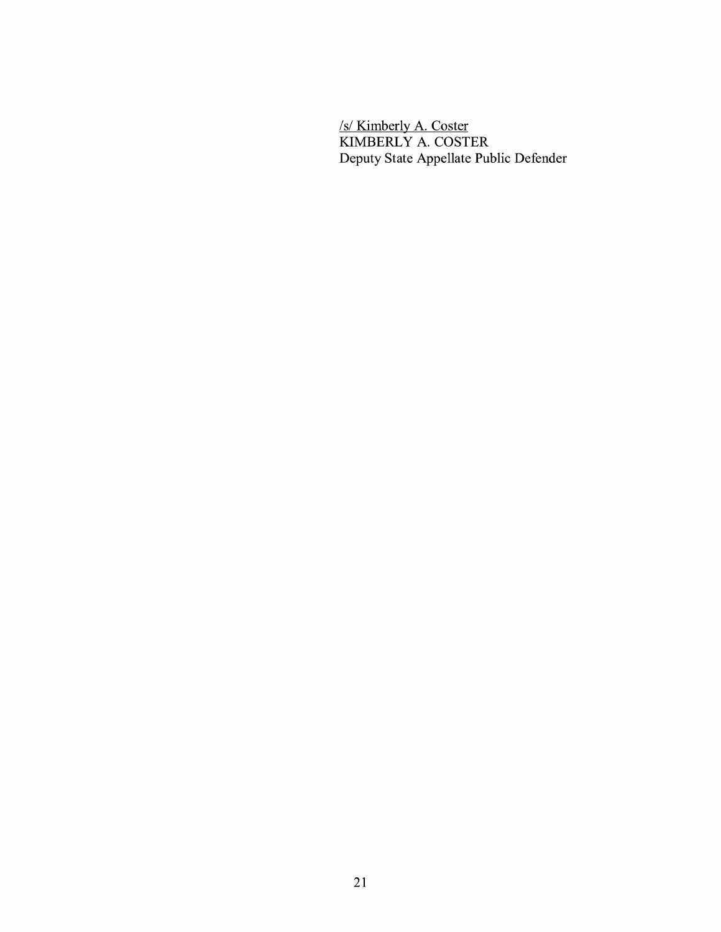*Isl* Kimberly A. Coster KIMBERLY A. COSTER Deputy State Appellate Public Defender